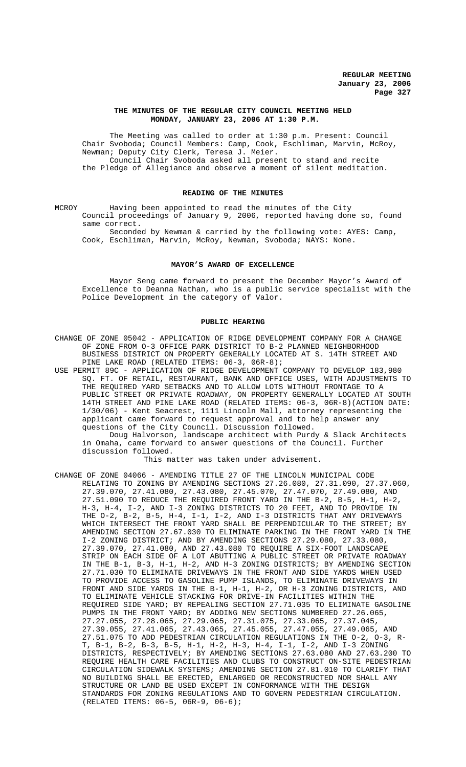## **THE MINUTES OF THE REGULAR CITY COUNCIL MEETING HELD MONDAY, JANUARY 23, 2006 AT 1:30 P.M.**

The Meeting was called to order at 1:30 p.m. Present: Council Chair Svoboda; Council Members: Camp, Cook, Eschliman, Marvin, McRoy, Newman; Deputy City Clerk, Teresa J. Meier. Council Chair Svoboda asked all present to stand and recite the Pledge of Allegiance and observe a moment of silent meditation.

# **READING OF THE MINUTES**

MCROY Having been appointed to read the minutes of the City Council proceedings of January 9, 2006, reported having done so, found same correct.

Seconded by Newman & carried by the following vote: AYES: Camp, Cook, Eschliman, Marvin, McRoy, Newman, Svoboda; NAYS: None.

#### **MAYOR'S AWARD OF EXCELLENCE**

Mayor Seng came forward to present the December Mayor's Award of Excellence to Deanna Nathan, who is a public service specialist with the Police Development in the category of Valor.

# **PUBLIC HEARING**

- CHANGE OF ZONE 05042 APPLICATION OF RIDGE DEVELOPMENT COMPANY FOR A CHANGE OF ZONE FROM O-3 OFFICE PARK DISTRICT TO B-2 PLANNED NEIGHBORHOOD BUSINESS DISTRICT ON PROPERTY GENERALLY LOCATED AT S. 14TH STREET AND PINE LAKE ROAD (RELATED ITEMS: 06-3, 06R-8);
- USE PERMIT 89C APPLICATION OF RIDGE DEVELOPMENT COMPANY TO DEVELOP 183,980 SQ. FT. OF RETAIL, RESTAURANT, BANK AND OFFICE USES, WITH ADJUSTMENTS TO THE REQUIRED YARD SETBACKS AND TO ALLOW LOTS WITHOUT FRONTAGE TO A PUBLIC STREET OR PRIVATE ROADWAY, ON PROPERTY GENERALLY LOCATED AT SOUTH 14TH STREET AND PINE LAKE ROAD (RELATED ITEMS: 06-3, 06R-8)(ACTION DATE: 1/30/06) - Kent Seacrest, 1111 Lincoln Mall, attorney representing the applicant came forward to request approval and to help answer any questions of the City Council. Discussion followed.

Doug Halvorson, landscape architect with Purdy & Slack Architects in Omaha, came forward to answer questions of the Council. Further discussion followed.

This matter was taken under advisement.

CHANGE OF ZONE 04066 - AMENDING TITLE 27 OF THE LINCOLN MUNICIPAL CODE RELATING TO ZONING BY AMENDING SECTIONS 27.26.080, 27.31.090, 27.37.060, 27.39.070, 27.41.080, 27.43.080, 27.45.070, 27.47.070, 27.49.080, AND 27.51.090 TO REDUCE THE REQUIRED FRONT YARD IN THE B-2, B-5, H-1, H-2, H-3, H-4, I-2, AND I-3 ZONING DISTRICTS TO 20 FEET, AND TO PROVIDE IN THE O-2, B-2, B-5, H-4, I-1, I-2, AND I-3 DISTRICTS THAT ANY DRIVEWAYS WHICH INTERSECT THE FRONT YARD SHALL BE PERPENDICULAR TO THE STREET; BY AMENDING SECTION 27.67.030 TO ELIMINATE PARKING IN THE FRONT YARD IN THE I-2 ZONING DISTRICT; AND BY AMENDING SECTIONS 27.29.080, 27.33.080, 27.39.070, 27.41.080, AND 27.43.080 TO REQUIRE A SIX-FOOT LANDSCAPE STRIP ON EACH SIDE OF A LOT ABUTTING A PUBLIC STREET OR PRIVATE ROADWAY IN THE B-1, B-3, H-1, H-2, AND H-3 ZONING DISTRICTS; BY AMENDING SECTION 27.71.030 TO ELIMINATE DRIVEWAYS IN THE FRONT AND SIDE YARDS WHEN USED TO PROVIDE ACCESS TO GASOLINE PUMP ISLANDS, TO ELIMINATE DRIVEWAYS IN FRONT AND SIDE YARDS IN THE B-1, H-1, H-2, OR H-3 ZONING DISTRICTS, AND TO ELIMINATE VEHICLE STACKING FOR DRIVE-IN FACILITIES WITHIN THE REQUIRED SIDE YARD; BY REPEALING SECTION 27.71.035 TO ELIMINATE GASOLINE PUMPS IN THE FRONT YARD; BY ADDING NEW SECTIONS NUMBERED 27.26.065, 27.27.055, 27.28.065, 27.29.065, 27.31.075, 27.33.065, 27.37.045, 27.39.055, 27.41.065, 27.43.065, 27.45.055, 27.47.055, 27.49.065, AND 27.51.075 TO ADD PEDESTRIAN CIRCULATION REGULATIONS IN THE O-2, O-3, R-T, B-1, B-2, B-3, B-5, H-1, H-2, H-3, H-4, I-1, I-2, AND I-3 ZONING DISTRICTS, RESPECTIVELY; BY AMENDING SECTIONS 27.63.080 AND 27.63.200 TO REQUIRE HEALTH CARE FACILITIES AND CLUBS TO CONSTRUCT ON-SITE PEDESTRIAN CIRCULATION SIDEWALK SYSTEMS; AMENDING SECTION 27.81.010 TO CLARIFY THAT NO BUILDING SHALL BE ERECTED, ENLARGED OR RECONSTRUCTED NOR SHALL ANY STRUCTURE OR LAND BE USED EXCEPT IN CONFORMANCE WITH THE DESIGN STANDARDS FOR ZONING REGULATIONS AND TO GOVERN PEDESTRIAN CIRCULATION. (RELATED ITEMS: 06-5, 06R-9, 06-6);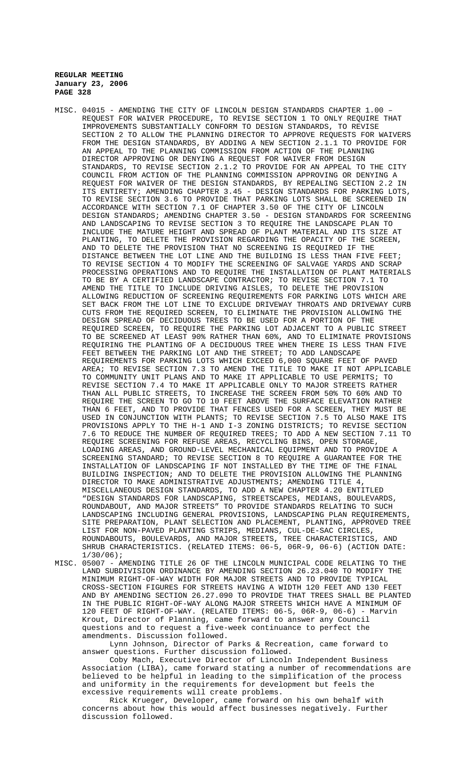- MISC. 04015 AMENDING THE CITY OF LINCOLN DESIGN STANDARDS CHAPTER 1.00 REQUEST FOR WAIVER PROCEDURE, TO REVISE SECTION 1 TO ONLY REQUIRE THAT IMPROVEMENTS SUBSTANTIALLY CONFORM TO DESIGN STANDARDS, TO REVISE SECTION 2 TO ALLOW THE PLANNING DIRECTOR TO APPROVE REQUESTS FOR WAIVERS FROM THE DESIGN STANDARDS, BY ADDING A NEW SECTION 2.1.1 TO PROVIDE FOR AN APPEAL TO THE PLANNING COMMISSION FROM ACTION OF THE PLANNING DIRECTOR APPROVING OR DENYING A REQUEST FOR WAIVER FROM DESIGN STANDARDS, TO REVISE SECTION 2.1.2 TO PROVIDE FOR AN APPEAL TO THE CITY COUNCIL FROM ACTION OF THE PLANNING COMMISSION APPROVING OR DENYING A REQUEST FOR WAIVER OF THE DESIGN STANDARDS, BY REPEALING SECTION 2.2 IN ITS ENTIRETY; AMENDING CHAPTER 3.45 - DESIGN STANDARDS FOR PARKING LOTS, TO REVISE SECTION 3.6 TO PROVIDE THAT PARKING LOTS SHALL BE SCREENED IN ACCORDANCE WITH SECTION 7.1 OF CHAPTER 3.50 OF THE CITY OF LINCOLN DESIGN STANDARDS; AMENDING CHAPTER 3.50 - DESIGN STANDARDS FOR SCREENING AND LANDSCAPING TO REVISE SECTION 3 TO REQUIRE THE LANDSCAPE PLAN TO INCLUDE THE MATURE HEIGHT AND SPREAD OF PLANT MATERIAL AND ITS SIZE AT PLANTING, TO DELETE THE PROVISION REGARDING THE OPACITY OF THE SCREEN, AND TO DELETE THE PROVISION THAT NO SCREENING IS REQUIRED IF THE DISTANCE BETWEEN THE LOT LINE AND THE BUILDING IS LESS THAN FIVE FEET; TO REVISE SECTION 4 TO MODIFY THE SCREENING OF SALVAGE YARDS AND SCRAP PROCESSING OPERATIONS AND TO REQUIRE THE INSTALLATION OF PLANT MATERIALS TO BE BY A CERTIFIED LANDSCAPE CONTRACTOR; TO REVISE SECTION 7.1 TO AMEND THE TITLE TO INCLUDE DRIVING AISLES, TO DELETE THE PROVISION ALLOWING REDUCTION OF SCREENING REQUIREMENTS FOR PARKING LOTS WHICH ARE SET BACK FROM THE LOT LINE TO EXCLUDE DRIVEWAY THROATS AND DRIVEWAY CURB CUTS FROM THE REQUIRED SCREEN, TO ELIMINATE THE PROVISION ALLOWING THE DESIGN SPREAD OF DECIDUOUS TREES TO BE USED FOR A PORTION OF THE REQUIRED SCREEN, TO REQUIRE THE PARKING LOT ADJACENT TO A PUBLIC STREET TO BE SCREENED AT LEAST 90% RATHER THAN 60%, AND TO ELIMINATE PROVISIONS REQUIRING THE PLANTING OF A DECIDUOUS TREE WHEN THERE IS LESS THAN FIVE FEET BETWEEN THE PARKING LOT AND THE STREET; TO ADD LANDSCAPE REQUIREMENTS FOR PARKING LOTS WHICH EXCEED 6,000 SQUARE FEET OF PAVED AREA; TO REVISE SECTION 7.3 TO AMEND THE TITLE TO MAKE IT NOT APPLICABLE TO COMMUNITY UNIT PLANS AND TO MAKE IT APPLICABLE TO USE PERMITS; TO REVISE SECTION 7.4 TO MAKE IT APPLICABLE ONLY TO MAJOR STREETS RATHER THAN ALL PUBLIC STREETS, TO INCREASE THE SCREEN FROM 50% TO 60% AND TO REQUIRE THE SCREEN TO GO TO 10 FEET ABOVE THE SURFACE ELEVATION RATHER THAN 6 FEET, AND TO PROVIDE THAT FENCES USED FOR A SCREEN, THEY MUST BE USED IN CONJUNCTION WITH PLANTS; TO REVISE SECTION 7.5 TO ALSO MAKE ITS PROVISIONS APPLY TO THE H-1 AND I-3 ZONING DISTRICTS; TO REVISE SECTION 7.6 TO REDUCE THE NUMBER OF REQUIRED TREES; TO ADD A NEW SECTION 7.11 TO REQUIRE SCREENING FOR REFUSE AREAS, RECYCLING BINS, OPEN STORAGE, LOADING AREAS, AND GROUND-LEVEL MECHANICAL EQUIPMENT AND TO PROVIDE A SCREENING STANDARD; TO REVISE SECTION 8 TO REQUIRE A GUARANTEE FOR THE INSTALLATION OF LANDSCAPING IF NOT INSTALLED BY THE TIME OF THE FINAL BUILDING INSPECTION; AND TO DELETE THE PROVISION ALLOWING THE PLANNING DIRECTOR TO MAKE ADMINISTRATIVE ADJUSTMENTS; AMENDING TITLE 4, MISCELLANEOUS DESIGN STANDARDS, TO ADD A NEW CHAPTER 4.20 ENTITLED "DESIGN STANDARDS FOR LANDSCAPING, STREETSCAPES, MEDIANS, BOULEVARDS, ROUNDABOUT, AND MAJOR STREETS" TO PROVIDE STANDARDS RELATING TO SUCH LANDSCAPING INCLUDING GENERAL PROVISIONS, LANDSCAPING PLAN REQUIREMENTS, SITE PREPARATION, PLANT SELECTION AND PLACEMENT, PLANTING, APPROVED TREE LIST FOR NON-PAVED PLANTING STRIPS, MEDIANS, CUL-DE-SAC CIRCLES, ROUNDABOUTS, BOULEVARDS, AND MAJOR STREETS, TREE CHARACTERISTICS, AND SHRUB CHARACTERISTICS. (RELATED ITEMS: 06-5, 06R-9, 06-6) (ACTION DATE: 1/30/06);
- MISC. 05007 AMENDING TITLE 26 OF THE LINCOLN MUNICIPAL CODE RELATING TO THE LAND SUBDIVISION ORDINANCE BY AMENDING SECTION 26.23.040 TO MODIFY THE MINIMUM RIGHT-OF-WAY WIDTH FOR MAJOR STREETS AND TO PROVIDE TYPICAL CROSS-SECTION FIGURES FOR STREETS HAVING A WIDTH 120 FEET AND 130 FEET AND BY AMENDING SECTION 26.27.090 TO PROVIDE THAT TREES SHALL BE PLANTED IN THE PUBLIC RIGHT-OF-WAY ALONG MAJOR STREETS WHICH HAVE A MINIMUM OF 120 FEET OF RIGHT-OF-WAY. (RELATED ITEMS: 06-5, 06R-9, 06-6) - Marvin Krout, Director of Planning, came forward to answer any Council questions and to request a five-week continuance to perfect the amendments. Discussion followed.

Lynn Johnson, Director of Parks & Recreation, came forward to answer questions. Further discussion followed.

Coby Mach, Executive Director of Lincoln Independent Business Association (LIBA), came forward stating a number of recommendations are believed to be helpful in leading to the simplification of the process and uniformity in the requirements for development but feels the excessive requirements will create problems.

Rick Krueger, Developer, came forward on his own behalf with concerns about how this would affect businesses negatively. Further discussion followed.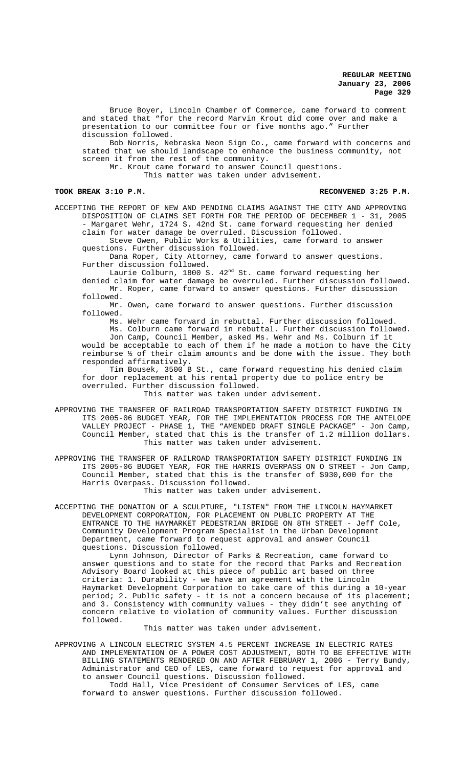Bruce Boyer, Lincoln Chamber of Commerce, came forward to comment and stated that "for the record Marvin Krout did come over and make a presentation to our committee four or five months ago." Further discussion followed.

Bob Norris, Nebraska Neon Sign Co., came forward with concerns and stated that we should landscape to enhance the business community, not screen it from the rest of the community.

Mr. Krout came forward to answer Council questions.

This matter was taken under advisement.

# TOOK BREAK 3:10 P.M. **RECONVENED 3:25 P.M.** RECONVENED 3:25 P.M.

ACCEPTING THE REPORT OF NEW AND PENDING CLAIMS AGAINST THE CITY AND APPROVING DISPOSITION OF CLAIMS SET FORTH FOR THE PERIOD OF DECEMBER 1 - 31, 2005 - Margaret Wehr, 1724 S. 42nd St. came forward requesting her denied claim for water damage be overruled. Discussion followed.

Steve Owen, Public Works & Utilities, came forward to answer questions. Further discussion followed.

Dana Roper, City Attorney, came forward to answer questions. Further discussion followed.

Laurie Colburn, 1800 S.  $42^{\text{nd}}$  St. came forward requesting her denied claim for water damage be overruled. Further discussion followed.

Mr. Roper, came forward to answer questions. Further discussion followed.

Mr. Owen, came forward to answer questions. Further discussion followed.

Ms. Wehr came forward in rebuttal. Further discussion followed. Ms. Colburn came forward in rebuttal. Further discussion followed. Jon Camp, Council Member, asked Ms. Wehr and Ms. Colburn if it

would be acceptable to each of them if he made a motion to have the City reimburse ½ of their claim amounts and be done with the issue. They both responded affirmatively.

Tim Bousek, 3500 B St., came forward requesting his denied claim for door replacement at his rental property due to police entry be overruled. Further discussion followed.

This matter was taken under advisement.

APPROVING THE TRANSFER OF RAILROAD TRANSPORTATION SAFETY DISTRICT FUNDING IN ITS 2005-06 BUDGET YEAR, FOR THE IMPLEMENTATION PROCESS FOR THE ANTELOPE VALLEY PROJECT - PHASE 1, THE "AMENDED DRAFT SINGLE PACKAGE" - Jon Camp, Council Member, stated that this is the transfer of 1.2 million dollars. This matter was taken under advisement.

APPROVING THE TRANSFER OF RAILROAD TRANSPORTATION SAFETY DISTRICT FUNDING IN ITS 2005-06 BUDGET YEAR, FOR THE HARRIS OVERPASS ON O STREET - Jon Camp, Council Member, stated that this is the transfer of \$930,000 for the Harris Overpass. Discussion followed.

This matter was taken under advisement.

ACCEPTING THE DONATION OF A SCULPTURE, "LISTEN" FROM THE LINCOLN HAYMARKET DEVELOPMENT CORPORATION, FOR PLACEMENT ON PUBLIC PROPERTY AT THE ENTRANCE TO THE HAYMARKET PEDESTRIAN BRIDGE ON 8TH STREET - Jeff Cole, Community Development Program Specialist in the Urban Development Department, came forward to request approval and answer Council questions. Discussion followed.

Lynn Johnson, Director of Parks & Recreation, came forward to answer questions and to state for the record that Parks and Recreation Advisory Board looked at this piece of public art based on three criteria: 1. Durability - we have an agreement with the Lincoln Haymarket Development Corporation to take care of this during a 10-year period; 2. Public safety - it is not a concern because of its placement; and 3. Consistency with community values - they didn't see anything of concern relative to violation of community values. Further discussion followed.

This matter was taken under advisement.

APPROVING A LINCOLN ELECTRIC SYSTEM 4.5 PERCENT INCREASE IN ELECTRIC RATES AND IMPLEMENTATION OF A POWER COST ADJUSTMENT, BOTH TO BE EFFECTIVE WITH BILLING STATEMENTS RENDERED ON AND AFTER FEBRUARY 1, 2006 - Terry Bundy, Administrator and CEO of LES, came forward to request for approval and to answer Council questions. Discussion followed.

Todd Hall, Vice President of Consumer Services of LES, came forward to answer questions. Further discussion followed.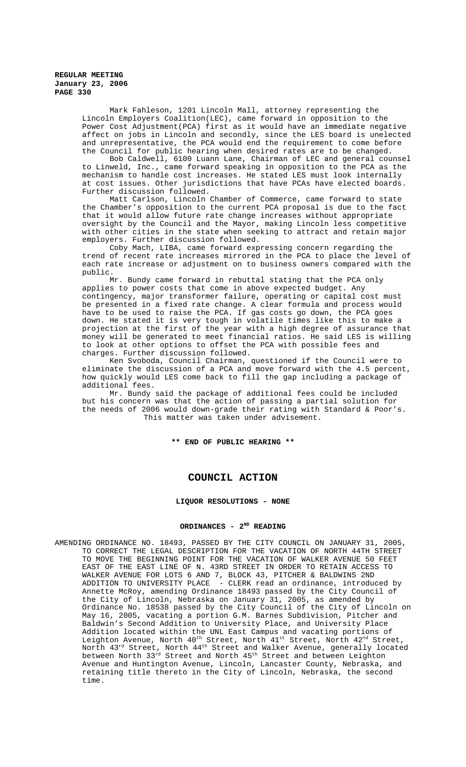Mark Fahleson, 1201 Lincoln Mall, attorney representing the Lincoln Employers Coalition(LEC), came forward in opposition to the Power Cost Adjustment(PCA) first as it would have an immediate negative affect on jobs in Lincoln and secondly, since the LES board is unelected and unrepresentative, the PCA would end the requirement to come before the Council for public hearing when desired rates are to be changed.

Bob Caldwell, 6100 Luann Lane, Chairman of LEC and general counsel to Linweld, Inc., came forward speaking in opposition to the PCA as the mechanism to handle cost increases. He stated LES must look internally at cost issues. Other jurisdictions that have PCAs have elected boards. Further discussion followed.

Matt Carlson, Lincoln Chamber of Commerce, came forward to state the Chamber's opposition to the current PCA proposal is due to the fact that it would allow future rate change increases without appropriate oversight by the Council and the Mayor, making Lincoln less competitive with other cities in the state when seeking to attract and retain major employers. Further discussion followed.

Coby Mach, LIBA, came forward expressing concern regarding the trend of recent rate increases mirrored in the PCA to place the level of each rate increase or adjustment on to business owners compared with the public.

Mr. Bundy came forward in rebuttal stating that the PCA only applies to power costs that come in above expected budget. Any contingency, major transformer failure, operating or capital cost must be presented in a fixed rate change. A clear formula and process would have to be used to raise the PCA. If gas costs go down, the PCA goes down. He stated it is very tough in volatile times like this to make a projection at the first of the year with a high degree of assurance that money will be generated to meet financial ratios. He said LES is willing to look at other options to offset the PCA with possible fees and charges. Further discussion followed.

Ken Svoboda, Council Chairman, questioned if the Council were to eliminate the discussion of a PCA and move forward with the 4.5 percent, how quickly would LES come back to fill the gap including a package of additional fees.

Mr. Bundy said the package of additional fees could be included but his concern was that the action of passing a partial solution for the needs of 2006 would down-grade their rating with Standard & Poor's. This matter was taken under advisement.

**\*\* END OF PUBLIC HEARING \*\***

# **COUNCIL ACTION**

# **LIQUOR RESOLUTIONS - NONE**

## ORDINANCES - 2<sup>ND</sup> READING

AMENDING ORDINANCE NO. 18493, PASSED BY THE CITY COUNCIL ON JANUARY 31, 2005, TO CORRECT THE LEGAL DESCRIPTION FOR THE VACATION OF NORTH 44TH STREET TO MOVE THE BEGINNING POINT FOR THE VACATION OF WALKER AVENUE 50 FEET EAST OF THE EAST LINE OF N. 43RD STREET IN ORDER TO RETAIN ACCESS TO WALKER AVENUE FOR LOTS 6 AND 7, BLOCK 43, PITCHER & BALDWINS 2ND ADDITION TO UNIVERSITY PLACE - CLERK read an ordinance, introduced by Annette McRoy, amending Ordinance 18493 passed by the City Council of the City of Lincoln, Nebraska on January 31, 2005, as amended by Ordinance No. 18538 passed by the City Council of the City of Lincoln on May 16, 2005, vacating a portion G.M. Barnes Subdivision, Pitcher and Baldwin's Second Addition to University Place, and University Place Addition located within the UNL East Campus and vacating portions of Leighton Avenue, North 40<sup>th</sup> Street, North 41<sup>st</sup> Street, North 42<sup>nd</sup> Street, North  $43^{\text{rd}}$  Street, North  $44^{\text{th}}$  Street and Walker Avenue, generally located between North 33 $^{\rm rd}$  Street and North  $45^{\rm th}$  Street and between Leighton Avenue and Huntington Avenue, Lincoln, Lancaster County, Nebraska, and retaining title thereto in the City of Lincoln, Nebraska, the second time.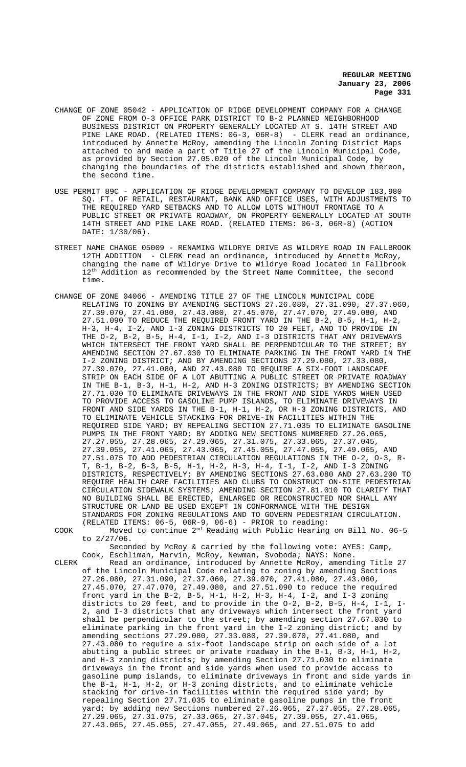- CHANGE OF ZONE 05042 APPLICATION OF RIDGE DEVELOPMENT COMPANY FOR A CHANGE OF ZONE FROM O-3 OFFICE PARK DISTRICT TO B-2 PLANNED NEIGHBORHOOD BUSINESS DISTRICT ON PROPERTY GENERALLY LOCATED AT S. 14TH STREET AND PINE LAKE ROAD. (RELATED ITEMS: 06-3, 06R-8) - CLERK read an ordinance, introduced by Annette McRoy, amending the Lincoln Zoning District Maps attached to and made a part of Title 27 of the Lincoln Municipal Code, as provided by Section 27.05.020 of the Lincoln Municipal Code, by changing the boundaries of the districts established and shown thereon, the second time.
- USE PERMIT 89C APPLICATION OF RIDGE DEVELOPMENT COMPANY TO DEVELOP 183,980 SQ. FT. OF RETAIL, RESTAURANT, BANK AND OFFICE USES, WITH ADJUSTMENTS TO THE REQUIRED YARD SETBACKS AND TO ALLOW LOTS WITHOUT FRONTAGE TO A PUBLIC STREET OR PRIVATE ROADWAY, ON PROPERTY GENERALLY LOCATED AT SOUTH 14TH STREET AND PINE LAKE ROAD. (RELATED ITEMS: 06-3, 06R-8) (ACTION DATE: 1/30/06).
- STREET NAME CHANGE 05009 RENAMING WILDRYE DRIVE AS WILDRYE ROAD IN FALLBROOK 12TH ADDITION - CLERK read an ordinance, introduced by Annette McRoy, changing the name of Wildrye Drive to Wildrye Road located in Fallbrook  $12<sup>th</sup>$  Addition as recommended by the Street Name Committee, the second time.
- CHANGE OF ZONE 04066 AMENDING TITLE 27 OF THE LINCOLN MUNICIPAL CODE RELATING TO ZONING BY AMENDING SECTIONS 27.26.080, 27.31.090, 27.37.060, 27.39.070, 27.41.080, 27.43.080, 27.45.070, 27.47.070, 27.49.080, AND 27.51.090 TO REDUCE THE REQUIRED FRONT YARD IN THE B-2, B-5, H-1, H-2, H-3, H-4, I-2, AND I-3 ZONING DISTRICTS TO 20 FEET, AND TO PROVIDE IN THE O-2, B-2, B-5, H-4, I-1, I-2, AND I-3 DISTRICTS THAT ANY DRIVEWAYS WHICH INTERSECT THE FRONT YARD SHALL BE PERPENDICULAR TO THE STREET; BY AMENDING SECTION 27.67.030 TO ELIMINATE PARKING IN THE FRONT YARD IN THE I-2 ZONING DISTRICT; AND BY AMENDING SECTIONS 27.29.080, 27.33.080, 27.39.070, 27.41.080, AND 27.43.080 TO REQUIRE A SIX-FOOT LANDSCAPE STRIP ON EACH SIDE OF A LOT ABUTTING A PUBLIC STREET OR PRIVATE ROADWAY IN THE B-1, B-3, H-1, H-2, AND H-3 ZONING DISTRICTS; BY AMENDING SECTION 27.71.030 TO ELIMINATE DRIVEWAYS IN THE FRONT AND SIDE YARDS WHEN USED TO PROVIDE ACCESS TO GASOLINE PUMP ISLANDS, TO ELIMINATE DRIVEWAYS IN FRONT AND SIDE YARDS IN THE B-1, H-1, H-2, OR H-3 ZONING DISTRICTS, AND TO ELIMINATE VEHICLE STACKING FOR DRIVE-IN FACILITIES WITHIN THE REQUIRED SIDE YARD; BY REPEALING SECTION 27.71.035 TO ELIMINATE GASOLINE PUMPS IN THE FRONT YARD; BY ADDING NEW SECTIONS NUMBERED 27.26.065, 27.27.055, 27.28.065, 27.29.065, 27.31.075, 27.33.065, 27.37.045, 27.39.055, 27.41.065, 27.43.065, 27.45.055, 27.47.055, 27.49.065, AND 27.51.075 TO ADD PEDESTRIAN CIRCULATION REGULATIONS IN THE O-2, O-3, R-T, B-1, B-2, B-3, B-5, H-1, H-2, H-3, H-4, I-1, I-2, AND I-3 ZONING DISTRICTS, RESPECTIVELY; BY AMENDING SECTIONS 27.63.080 AND 27.63.200 TO REQUIRE HEALTH CARE FACILITIES AND CLUBS TO CONSTRUCT ON-SITE PEDESTRIAN CIRCULATION SIDEWALK SYSTEMS; AMENDING SECTION 27.81.010 TO CLARIFY THAT NO BUILDING SHALL BE ERECTED, ENLARGED OR RECONSTRUCTED NOR SHALL ANY STRUCTURE OR LAND BE USED EXCEPT IN CONFORMANCE WITH THE DESIGN STANDARDS FOR ZONING REGULATIONS AND TO GOVERN PEDESTRIAN CIRCULATION. (RELATED ITEMS: 06-5, 06R-9, 06-6) - PRIOR to reading:

COOK Moved to continue 2nd Reading with Public Hearing on Bill No. 06-5 to 2/27/06.

Seconded by McRoy & carried by the following vote: AYES: Camp, Cook, Eschliman, Marvin, McRoy, Newman, Svoboda; NAYS: None.

CLERK Read an ordinance, introduced by Annette McRoy, amending Title 27 of the Lincoln Municipal Code relating to zoning by amending Sections 27.26.080, 27.31.090, 27.37.060, 27.39.070, 27.41.080, 27.43.080, 27.45.070, 27.47.070, 27.49.080, and 27.51.090 to reduce the required front yard in the B-2, B-5, H-1, H-2, H-3, H-4, I-2, and I-3 zoning districts to 20 feet, and to provide in the O-2, B-2, B-5, H-4, I-1, I-2, and I-3 districts that any driveways which intersect the front yard shall be perpendicular to the street; by amending section 27.67.030 to eliminate parking in the front yard in the I-2 zoning district; and by amending sections 27.29.080, 27.33.080, 27.39.070, 27.41.080, and 27.43.080 to require a six-foot landscape strip on each side of a lot abutting a public street or private roadway in the B-1, B-3, H-1, H-2, and H-3 zoning districts; by amending Section 27.71.030 to eliminate driveways in the front and side yards when used to provide access to gasoline pump islands, to eliminate driveways in front and side yards in the B-1, H-1, H-2, or H-3 zoning districts, and to eliminate vehicle stacking for drive-in facilities within the required side yard; by repealing Section 27.71.035 to eliminate gasoline pumps in the front yard; by adding new Sections numbered 27.26.065, 27.27.055, 27.28.065, 27.29.065, 27.31.075, 27.33.065, 27.37.045, 27.39.055, 27.41.065, 27.43.065, 27.45.055, 27.47.055, 27.49.065, and 27.51.075 to add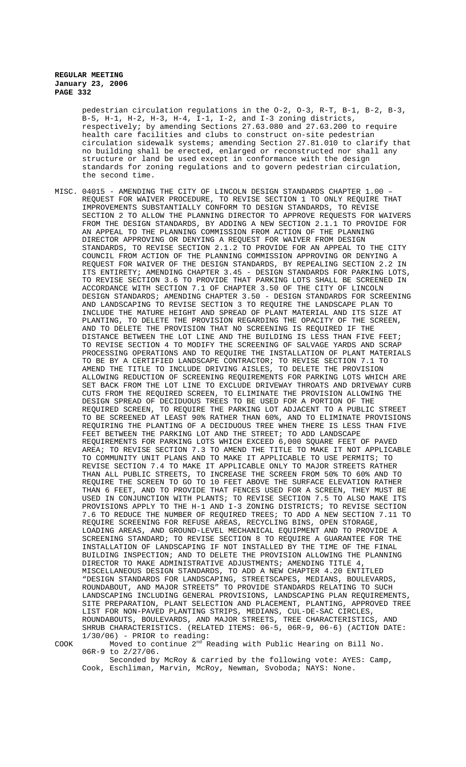pedestrian circulation regulations in the O-2, O-3, R-T, B-1, B-2, B-3, B-5, H-1, H-2, H-3, H-4, I-1, I-2, and I-3 zoning districts, respectively; by amending Sections 27.63.080 and 27.63.200 to require health care facilities and clubs to construct on-site pedestrian circulation sidewalk systems; amending Section 27.81.010 to clarify that no building shall be erected, enlarged or reconstructed nor shall any structure or land be used except in conformance with the design standards for zoning regulations and to govern pedestrian circulation, the second time.

MISC. 04015 - AMENDING THE CITY OF LINCOLN DESIGN STANDARDS CHAPTER 1.00 – REQUEST FOR WAIVER PROCEDURE, TO REVISE SECTION 1 TO ONLY REQUIRE THAT IMPROVEMENTS SUBSTANTIALLY CONFORM TO DESIGN STANDARDS, TO REVISE SECTION 2 TO ALLOW THE PLANNING DIRECTOR TO APPROVE REQUESTS FOR WAIVERS FROM THE DESIGN STANDARDS, BY ADDING A NEW SECTION 2.1.1 TO PROVIDE FOR AN APPEAL TO THE PLANNING COMMISSION FROM ACTION OF THE PLANNING DIRECTOR APPROVING OR DENYING A REQUEST FOR WAIVER FROM DESIGN STANDARDS, TO REVISE SECTION 2.1.2 TO PROVIDE FOR AN APPEAL TO THE CITY COUNCIL FROM ACTION OF THE PLANNING COMMISSION APPROVING OR DENYING A REQUEST FOR WAIVER OF THE DESIGN STANDARDS, BY REPEALING SECTION 2.2 IN ITS ENTIRETY; AMENDING CHAPTER 3.45 - DESIGN STANDARDS FOR PARKING LOTS, TO REVISE SECTION 3.6 TO PROVIDE THAT PARKING LOTS SHALL BE SCREENED IN ACCORDANCE WITH SECTION 7.1 OF CHAPTER 3.50 OF THE CITY OF LINCOLN DESIGN STANDARDS; AMENDING CHAPTER 3.50 - DESIGN STANDARDS FOR SCREENING AND LANDSCAPING TO REVISE SECTION 3 TO REQUIRE THE LANDSCAPE PLAN TO INCLUDE THE MATURE HEIGHT AND SPREAD OF PLANT MATERIAL AND ITS SIZE AT PLANTING, TO DELETE THE PROVISION REGARDING THE OPACITY OF THE SCREEN, AND TO DELETE THE PROVISION THAT NO SCREENING IS REQUIRED IF THE DISTANCE BETWEEN THE LOT LINE AND THE BUILDING IS LESS THAN FIVE FEET; TO REVISE SECTION 4 TO MODIFY THE SCREENING OF SALVAGE YARDS AND SCRAP PROCESSING OPERATIONS AND TO REQUIRE THE INSTALLATION OF PLANT MATERIALS TO BE BY A CERTIFIED LANDSCAPE CONTRACTOR; TO REVISE SECTION 7.1 TO AMEND THE TITLE TO INCLUDE DRIVING AISLES, TO DELETE THE PROVISION ALLOWING REDUCTION OF SCREENING REQUIREMENTS FOR PARKING LOTS WHICH ARE SET BACK FROM THE LOT LINE TO EXCLUDE DRIVEWAY THROATS AND DRIVEWAY CURB CUTS FROM THE REQUIRED SCREEN, TO ELIMINATE THE PROVISION ALLOWING THE DESIGN SPREAD OF DECIDUOUS TREES TO BE USED FOR A PORTION OF THE REQUIRED SCREEN, TO REQUIRE THE PARKING LOT ADJACENT TO A PUBLIC STREET TO BE SCREENED AT LEAST 90% RATHER THAN 60%, AND TO ELIMINATE PROVISIONS REQUIRING THE PLANTING OF A DECIDUOUS TREE WHEN THERE IS LESS THAN FIVE FEET BETWEEN THE PARKING LOT AND THE STREET; TO ADD LANDSCAPE REQUIREMENTS FOR PARKING LOTS WHICH EXCEED 6,000 SQUARE FEET OF PAVED AREA; TO REVISE SECTION 7.3 TO AMEND THE TITLE TO MAKE IT NOT APPLICABLE TO COMMUNITY UNIT PLANS AND TO MAKE IT APPLICABLE TO USE PERMITS; TO REVISE SECTION 7.4 TO MAKE IT APPLICABLE ONLY TO MAJOR STREETS RATHER THAN ALL PUBLIC STREETS, TO INCREASE THE SCREEN FROM 50% TO 60% AND TO REQUIRE THE SCREEN TO GO TO 10 FEET ABOVE THE SURFACE ELEVATION RATHER THAN 6 FEET, AND TO PROVIDE THAT FENCES USED FOR A SCREEN, THEY MUST BE USED IN CONJUNCTION WITH PLANTS; TO REVISE SECTION 7.5 TO ALSO MAKE ITS PROVISIONS APPLY TO THE H-1 AND I-3 ZONING DISTRICTS; TO REVISE SECTION 7.6 TO REDUCE THE NUMBER OF REQUIRED TREES; TO ADD A NEW SECTION 7.11 TO REQUIRE SCREENING FOR REFUSE AREAS, RECYCLING BINS, OPEN STORAGE, LOADING AREAS, AND GROUND-LEVEL MECHANICAL EQUIPMENT AND TO PROVIDE A SCREENING STANDARD; TO REVISE SECTION 8 TO REQUIRE A GUARANTEE FOR THE INSTALLATION OF LANDSCAPING IF NOT INSTALLED BY THE TIME OF THE FINAL BUILDING INSPECTION; AND TO DELETE THE PROVISION ALLOWING THE PLANNING DIRECTOR TO MAKE ADMINISTRATIVE ADJUSTMENTS; AMENDING TITLE 4, MISCELLANEOUS DESIGN STANDARDS, TO ADD A NEW CHAPTER 4.20 ENTITLED "DESIGN STANDARDS FOR LANDSCAPING, STREETSCAPES, MEDIANS, BOULEVARDS, ROUNDABOUT, AND MAJOR STREETS" TO PROVIDE STANDARDS RELATING TO SUCH LANDSCAPING INCLUDING GENERAL PROVISIONS, LANDSCAPING PLAN REQUIREMENTS, SITE PREPARATION, PLANT SELECTION AND PLACEMENT, PLANTING, APPROVED TREE LIST FOR NON-PAVED PLANTING STRIPS, MEDIANS, CUL-DE-SAC CIRCLES, ROUNDABOUTS, BOULEVARDS, AND MAJOR STREETS, TREE CHARACTERISTICS, AND SHRUB CHARACTERISTICS. (RELATED ITEMS: 06-5, 06R-9, 06-6) (ACTION DATE: 1/30/06) - PRIOR to reading:

COOK Moved to continue 2nd Reading with Public Hearing on Bill No. 06R-9 to 2/27/06.

Seconded by McRoy & carried by the following vote: AYES: Camp, Cook, Eschliman, Marvin, McRoy, Newman, Svoboda; NAYS: None.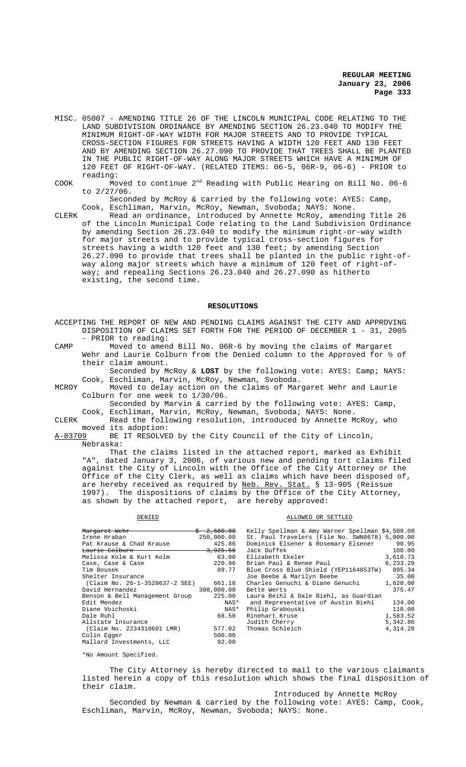- MISC. 05007 AMENDING TITLE 26 OF THE LINCOLN MUNICIPAL CODE RELATING TO THE LAND SUBDIVISION ORDINANCE BY AMENDING SECTION 26.23.040 TO MODIFY THE MINIMUM RIGHT-OF-WAY WIDTH FOR MAJOR STREETS AND TO PROVIDE TYPICAL CROSS-SECTION FIGURES FOR STREETS HAVING A WIDTH 120 FEET AND 130 FEET AND BY AMENDING SECTION 26.27.090 TO PROVIDE THAT TREES SHALL BE PLANTED IN THE PUBLIC RIGHT-OF-WAY ALONG MAJOR STREETS WHICH HAVE A MINIMUM OF 120 FEET OF RIGHT-OF-WAY. (RELATED ITEMS: 06-5, 06R-9, 06-6) - PRIOR to reading:
- COOK Moved to continue 2nd Reading with Public Hearing on Bill No. 06-6 to 2/27/06.

Seconded by McRoy & carried by the following vote: AYES: Camp, Cook, Eschliman, Marvin, McRoy, Newman, Svoboda; NAYS: None.

CLERK Read an ordinance, introduced by Annette McRoy, amending Title 26 of the Lincoln Municipal Code relating to the Land Subdivision Ordinance by amending Section 26.23.040 to modify the minimum right-or-way width for major streets and to provide typical cross-section figures for streets having a width 120 feet and 130 feet; by amending Section 26.27.090 to provide that trees shall be planted in the public right-ofway along major streets which have a minimum of 120 feet of right-ofway; and repealing Sections 26.23.040 and 26.27.090 as hitherto existing, the second time.

#### **RESOLUTIONS**

ACCEPTING THE REPORT OF NEW AND PENDING CLAIMS AGAINST THE CITY AND APPROVING DISPOSITION OF CLAIMS SET FORTH FOR THE PERIOD OF DECEMBER 1 - 31, 2005 - PRIOR to reading:

CAMP Moved to amend Bill No. 06R-6 by moving the claims of Margaret Wehr and Laurie Colburn from the Denied column to the Approved for  $\frac{1}{2}$  of their claim amount.

Seconded by McRoy & **LOST** by the following vote: AYES: Camp; NAYS: Cook, Eschliman, Marvin, McRoy, Newman, Svoboda.

MCROY Moved to delay action on the claims of Margaret Wehr and Laurie Colburn for one week to 1/30/06.

Seconded by Marvin & carried by the following vote: AYES: Camp, Cook, Eschliman, Marvin, McRoy, Newman, Svoboda; NAYS: None.

CLERK Read the following resolution, introduced by Annette McRoy, who moved its adoption:

A-83709 BE IT RESOLVED by the City Council of the City of Lincoln, Nebraska:

That the claims listed in the attached report, marked as Exhibit "A", dated January 3, 2006, of various new and pending tort claims filed against the City of Lincoln with the Office of the City Attorney or the Office of the City Clerk, as well as claims which have been disposed of, are hereby received as required by Neb. Rev. Stat. § 13-905 (Reissue 1997). The dispositions of claims by the Office of the City Attorney, as shown by the attached report, are hereby approved:

#### DENIED CONSERVED OR SETTLED

| Margaret Wehr                         | $\frac{6}{5}$ 2,680.08 | Kelly Spellman & Amy Warner Spellman \$4,500.00 |          |
|---------------------------------------|------------------------|-------------------------------------------------|----------|
| Irene Hraban                          | 250,000.00             | St. Paul Travelers (File No. SWN0678) 5,000.00  |          |
| Pat Krause & Chad Krause              | 425.86                 | Dominick Elsener & Rosemary Elsener 90.95       |          |
| <del>Laurie Colburn</del>             | <del>3,925,56</del>    | Jack Duffek                                     | 100.00   |
| Melissa Kolm & Kurt Kolm              | 63.00                  | Elizabeth Ekeler                                | 3,610.73 |
| Case, Case & Case                     | 220.96                 | Brian Paul & Renee Paul                         | 6,233.29 |
| Tim Bousek                            | 89.77                  | Blue Cross Blue Shield (YEP1164853TW)           | 895.34   |
| Shelter Insurance                     |                        | Joe Beebe & Marilyn Beebe                       | 35.00    |
| (Claim No. 26-1-3528637-2 SEE) 661.18 |                        | Charles Genuchi & Diane Genuchi                 | 1,620.00 |
| David Hernandez                       | 300,000.00             | Bette Werts                                     | 375.47   |
| Benson & Bell Management Group        | 225.00                 | Laura Beihl & Dale Biehl, as Guardian           |          |
| Edit Mendez                           | NAS*                   | and Representative of Austin Biehl              | 134.00   |
| Diane Voichoski                       | NAS*                   | Philip Grabouski                                | 110.00   |
| Dale Ruhl                             | 68.50                  | Rinehart Kruse                                  | 1,583.52 |
| Allstate Insurance                    |                        | Judith Cherry                                   | 5,342.86 |
| (Claim No. 2234310601 LMR)            | 577.02                 | Thomas Schleich                                 | 4,314.28 |
| Colin Egger                           | 500.00                 |                                                 |          |
| Mallard Investments, LLC              | 92.00                  |                                                 |          |

\*No Amount Specified.

The City Attorney is hereby directed to mail to the various claimants listed herein a copy of this resolution which shows the final disposition of their claim.

Introduced by Annette McRoy Seconded by Newman & carried by the following vote: AYES: Camp, Cook, Eschliman, Marvin, McRoy, Newman, Svoboda; NAYS: None.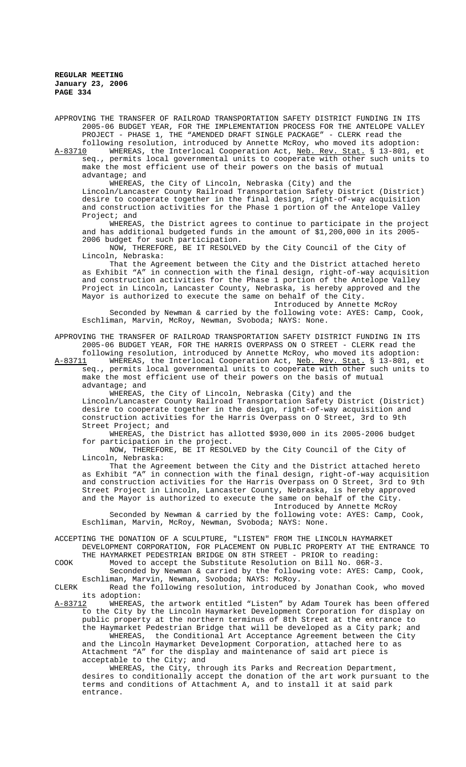APPROVING THE TRANSFER OF RAILROAD TRANSPORTATION SAFETY DISTRICT FUNDING IN ITS 2005-06 BUDGET YEAR, FOR THE IMPLEMENTATION PROCESS FOR THE ANTELOPE VALLEY PROJECT - PHASE 1, THE "AMENDED DRAFT SINGLE PACKAGE" - CLERK read the

following resolution, introduced by Annette McRoy, who moved its adoption: WHEREAS, the Interlocal Cooperation Act, Neb. Rev. Stat. § 13-801, et seq., permits local governmental units to cooperate with other such units to make the most efficient use of their powers on the basis of mutual advantage; and

WHEREAS, the City of Lincoln, Nebraska (City) and the Lincoln/Lancaster County Railroad Transportation Safety District (District) desire to cooperate together in the final design, right-of-way acquisition and construction activities for the Phase 1 portion of the Antelope Valley Project; and

WHEREAS, the District agrees to continue to participate in the project and has additional budgeted funds in the amount of \$1,200,000 in its 2005- 2006 budget for such participation.

NOW, THEREFORE, BE IT RESOLVED by the City Council of the City of Lincoln, Nebraska:

That the Agreement between the City and the District attached hereto as Exhibit "A" in connection with the final design, right-of-way acquisition and construction activities for the Phase 1 portion of the Antelope Valley Project in Lincoln, Lancaster County, Nebraska, is hereby approved and the Mayor is authorized to execute the same on behalf of the City.

Introduced by Annette McRoy Seconded by Newman & carried by the following vote: AYES: Camp, Cook, Eschliman, Marvin, McRoy, Newman, Svoboda; NAYS: None.

APPROVING THE TRANSFER OF RAILROAD TRANSPORTATION SAFETY DISTRICT FUNDING IN ITS 2005-06 BUDGET YEAR, FOR THE HARRIS OVERPASS ON O STREET - CLERK read the following resolution, introduced by Annette McRoy, who moved its adoption:

A-83711 WHEREAS, the Interlocal Cooperation Act, Neb. Rev. Stat. § 13-801, et seq., permits local governmental units to cooperate with other such units to make the most efficient use of their powers on the basis of mutual advantage; and

WHEREAS, the City of Lincoln, Nebraska (City) and the Lincoln/Lancaster County Railroad Transportation Safety District (District) desire to cooperate together in the design, right-of-way acquisition and construction activities for the Harris Overpass on O Street, 3rd to 9th Street Project; and

WHEREAS, the District has allotted \$930,000 in its 2005-2006 budget for participation in the project.

NOW, THEREFORE, BE IT RESOLVED by the City Council of the City of Lincoln, Nebraska:

That the Agreement between the City and the District attached hereto as Exhibit "A" in connection with the final design, right-of-way acquisition and construction activities for the Harris Overpass on O Street, 3rd to 9th Street Project in Lincoln, Lancaster County, Nebraska, is hereby approved and the Mayor is authorized to execute the same on behalf of the City. Introduced by Annette McRoy

Seconded by Newman & carried by the following vote: AYES: Camp, Cook, Eschliman, Marvin, McRoy, Newman, Svoboda; NAYS: None.

ACCEPTING THE DONATION OF A SCULPTURE, "LISTEN" FROM THE LINCOLN HAYMARKET DEVELOPMENT CORPORATION, FOR PLACEMENT ON PUBLIC PROPERTY AT THE ENTRANCE TO THE HAYMARKET PEDESTRIAN BRIDGE ON 8TH STREET - PRIOR to reading:

COOK Moved to accept the Substitute Resolution on Bill No. 06R-3.

Seconded by Newman & carried by the following vote: AYES: Camp, Cook, Eschliman, Marvin, Newman, Svoboda; NAYS: McRoy.

CLERK Read the following resolution, introduced by Jonathan Cook, who moved its adoption:<br>A-83712 WHEREAS

A-83712 MHEREAS, the artwork entitled "Listen" by Adam Tourek has been offered to the City by the Lincoln Haymarket Development Corporation for display on public property at the northern terminus of 8th Street at the entrance to the Haymarket Pedestrian Bridge that will be developed as a City park; and WHEREAS, the Conditional Art Acceptance Agreement between the City and the Lincoln Haymarket Development Corporation, attached here to as Attachment "A" for the display and maintenance of said art piece is acceptable to the City; and

WHEREAS, the City, through its Parks and Recreation Department, desires to conditionally accept the donation of the art work pursuant to the terms and conditions of Attachment A, and to install it at said park entrance.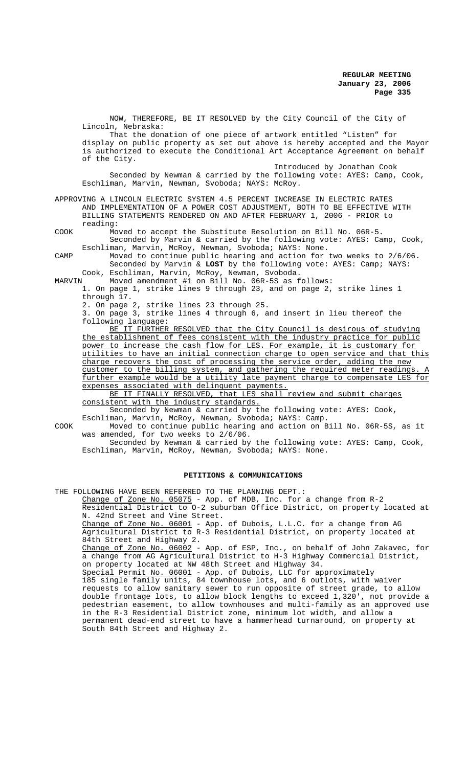NOW, THEREFORE, BE IT RESOLVED by the City Council of the City of Lincoln, Nebraska: That the donation of one piece of artwork entitled "Listen" for display on public property as set out above is hereby accepted and the Mayor is authorized to execute the Conditional Art Acceptance Agreement on behalf of the City. Introduced by Jonathan Cook Seconded by Newman & carried by the following vote: AYES: Camp, Cook, Eschliman, Marvin, Newman, Svoboda; NAYS: McRoy.

APPROVING A LINCOLN ELECTRIC SYSTEM 4.5 PERCENT INCREASE IN ELECTRIC RATES AND IMPLEMENTATION OF A POWER COST ADJUSTMENT, BOTH TO BE EFFECTIVE WITH BILLING STATEMENTS RENDERED ON AND AFTER FEBRUARY 1, 2006 - PRIOR to reading:

COOK Moved to accept the Substitute Resolution on Bill No. 06R-5. Seconded by Marvin & carried by the following vote: AYES: Camp, Cook, Eschliman, Marvin, McRoy, Newman, Svoboda; NAYS: None.

CAMP Moved to continue public hearing and action for two weeks to 2/6/06. Seconded by Marvin & **LOST** by the following vote: AYES: Camp; NAYS: Cook, Eschliman, Marvin, McRoy, Newman, Svoboda.

Moved amendment #1 on Bill No. 06R-5S as follows:

1. On page 1, strike lines 9 through 23, and on page 2, strike lines 1 through 17.

2. On page 2, strike lines 23 through 25.

3. On page 3, strike lines 4 through 6, and insert in lieu thereof the following language:

BE IT FURTHER RESOLVED that the City Council is desirous of studying the establishment of fees consistent with the industry practice for public power to increase the cash flow for LES. For example, it is customary for utilities to have an initial connection charge to open service and that this charge recovers the cost of processing the service order, adding the new customer to the billing system, and gathering the required meter readings further example would be a utility late payment charge to compensate LES for expenses associated with delinquent payments.

BE IT FINALLY RESOLVED, that LES shall review and submit charges consistent with the industry standards.

Seconded by Newman & carried by the following vote: AYES: Cook, Eschliman, Marvin, McRoy, Newman, Svoboda; NAYS: Camp.

COOK Moved to continue public hearing and action on Bill No. 06R-5S, as it was amended, for two weeks to 2/6/06.

Seconded by Newman & carried by the following vote: AYES: Camp, Cook, Eschliman, Marvin, McRoy, Newman, Svoboda; NAYS: None.

#### **PETITIONS & COMMUNICATIONS**

THE FOLLOWING HAVE BEEN REFERRED TO THE PLANNING DEPT.:

Change of Zone No. 05075 - App. of MDB, Inc. for a change from R-2 Residential District to O-2 suburban Office District, on property located at N. 42nd Street and Vine Street. Change of Zone No. 06001 - App. of Dubois, L.L.C. for a change from AG Agricultural District to R-3 Residential District, on property located at

84th Street and Highway 2. Change of Zone No. 06002 - App. of ESP, Inc., on behalf of John Zakavec, for a change from AG Agricultural District to H-3 Highway Commercial District,

on property located at NW 48th Street and Highway 34.

Special Permit No. 06001 - App. of Dubois, LLC for approximately 185 single family units, 84 townhouse lots, and 6 outlots, with waiver requests to allow sanitary sewer to run opposite of street grade, to allow double frontage lots, to allow block lengths to exceed 1,320', not provide a pedestrian easement, to allow townhouses and multi-family as an approved use in the R-3 Residential District zone, minimum lot width, and allow a permanent dead-end street to have a hammerhead turnaround, on property at South 84th Street and Highway 2.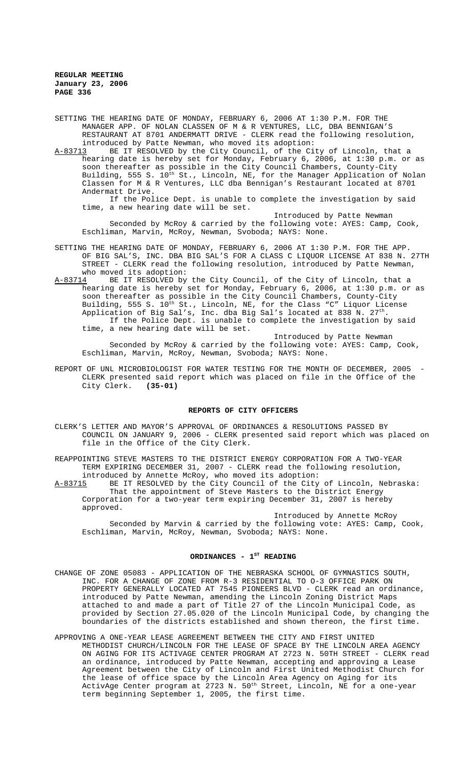SETTING THE HEARING DATE OF MONDAY, FEBRUARY 6, 2006 AT 1:30 P.M. FOR THE MANAGER APP. OF NOLAN CLASSEN OF M & R VENTURES, LLC, DBA BENNIGAN'S RESTAURANT AT 8701 ANDERMATT DRIVE - CLERK read the following resolution, introduced by Patte Newman, who moved its adoption:<br>A-83713 BE IT RESOLVED by the City Council, of the Ci

BE IT RESOLVED by the City Council, of the City of Lincoln, that a hearing date is hereby set for Monday, February 6, 2006, at 1:30 p.m. or as soon thereafter as possible in the City Council Chambers, County-City Building, 555 S. 10<sup>th</sup> St., Lincoln, NE, for the Manager Application of Nolan Classen for M & R Ventures, LLC dba Bennigan's Restaurant located at 8701 Andermatt Drive.

If the Police Dept. is unable to complete the investigation by said time, a new hearing date will be set.

Introduced by Patte Newman

Seconded by McRoy & carried by the following vote: AYES: Camp, Cook, Eschliman, Marvin, McRoy, Newman, Svoboda; NAYS: None.

- SETTING THE HEARING DATE OF MONDAY, FEBRUARY 6, 2006 AT 1:30 P.M. FOR THE APP. OF BIG SAL'S, INC. DBA BIG SAL'S FOR A CLASS C LIQUOR LICENSE AT 838 N. 27TH STREET - CLERK read the following resolution, introduced by Patte Newman, who moved its adoption:
- A-83714 BE IT RESOLVED by the City Council, of the City of Lincoln, that a hearing date is hereby set for Monday, February 6, 2006, at 1:30 p.m. or as soon thereafter as possible in the City Council Chambers, County-City Building, 555 S. 10<sup>th</sup> St., Lincoln, NE, for the Class "C" Liquor License Application of Big Sal's, Inc. dba Big Sal's located at 838 N.  $27^{\text{th}}$ . If the Police Dept. is unable to complete the investigation by said time, a new hearing date will be set.

Introduced by Patte Newman Seconded by McRoy & carried by the following vote: AYES: Camp, Cook, Eschliman, Marvin, McRoy, Newman, Svoboda; NAYS: None.

REPORT OF UNL MICROBIOLOGIST FOR WATER TESTING FOR THE MONTH OF DECEMBER, 2005 CLERK presented said report which was placed on file in the Office of the City Clerk. **(35-01)**

## **REPORTS OF CITY OFFICERS**

CLERK'S LETTER AND MAYOR'S APPROVAL OF ORDINANCES & RESOLUTIONS PASSED BY COUNCIL ON JANUARY 9, 2006 - CLERK presented said report which was placed on file in the Office of the City Clerk.

REAPPOINTING STEVE MASTERS TO THE DISTRICT ENERGY CORPORATION FOR A TWO-YEAR TERM EXPIRING DECEMBER 31, 2007 - CLERK read the following resolution,

introduced by Annette McRoy, who moved its adoption:<br>A-83715 BE IT RESOLVED by the City Council of the City BE IT RESOLVED by the City Council of the City of Lincoln, Nebraska: That the appointment of Steve Masters to the District Energy Corporation for a two-year term expiring December 31, 2007 is hereby approved.

Introduced by Annette McRoy Seconded by Marvin & carried by the following vote: AYES: Camp, Cook, Eschliman, Marvin, McRoy, Newman, Svoboda; NAYS: None.

## ORDINANCES - 1<sup>ST</sup> READING

- CHANGE OF ZONE 05083 APPLICATION OF THE NEBRASKA SCHOOL OF GYMNASTICS SOUTH, INC. FOR A CHANGE OF ZONE FROM R-3 RESIDENTIAL TO O-3 OFFICE PARK ON PROPERTY GENERALLY LOCATED AT 7545 PIONEERS BLVD - CLERK read an ordinance, introduced by Patte Newman, amending the Lincoln Zoning District Maps attached to and made a part of Title 27 of the Lincoln Municipal Code, provided by Section 27.05.020 of the Lincoln Municipal Code, by changing the boundaries of the districts established and shown thereon, the first time.
- APPROVING A ONE-YEAR LEASE AGREEMENT BETWEEN THE CITY AND FIRST UNITED METHODIST CHURCH/LINCOLN FOR THE LEASE OF SPACE BY THE LINCOLN AREA AGENCY ON AGING FOR ITS ACTIVAGE CENTER PROGRAM AT 2723 N. 50TH STREET - CLERK read an ordinance, introduced by Patte Newman, accepting and approving a Lease Agreement between the City of Lincoln and First United Methodist Church for the lease of office space by the Lincoln Area Agency on Aging for its ActivAge Center program at 2723 N. 50<sup>th</sup> Street, Lincoln, NE for a one-year term beginning September 1, 2005, the first time.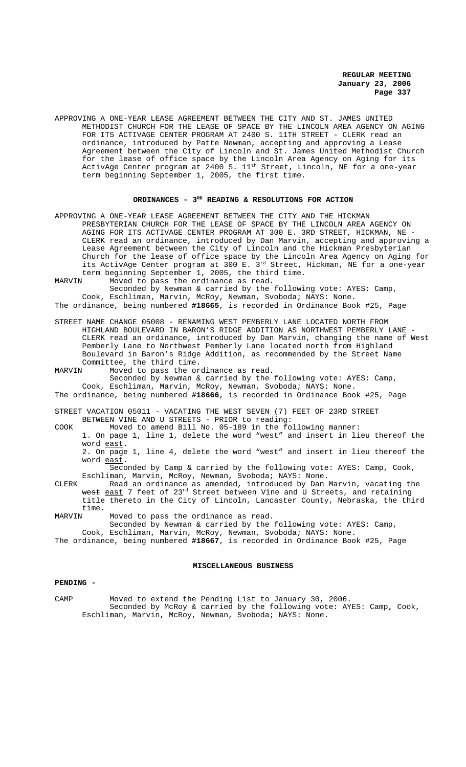APPROVING A ONE-YEAR LEASE AGREEMENT BETWEEN THE CITY AND ST. JAMES UNITED METHODIST CHURCH FOR THE LEASE OF SPACE BY THE LINCOLN AREA AGENCY ON AGING FOR ITS ACTIVAGE CENTER PROGRAM AT 2400 S. 11TH STREET - CLERK read an ordinance, introduced by Patte Newman, accepting and approving a Lease Agreement between the City of Lincoln and St. James United Methodist Church for the lease of office space by the Lincoln Area Agency on Aging for its ActivAge Center program at 2400 S.  $11^{\text{th}}$  Street, Lincoln, NE for a one-year term beginning September 1, 2005, the first time.

## ORDINANCES - 3<sup>RD</sup> READING & RESOLUTIONS FOR ACTION

- APPROVING A ONE-YEAR LEASE AGREEMENT BETWEEN THE CITY AND THE HICKMAN PRESBYTERIAN CHURCH FOR THE LEASE OF SPACE BY THE LINCOLN AREA AGENCY ON AGING FOR ITS ACTIVAGE CENTER PROGRAM AT 300 E. 3RD STREET, HICKMAN, NE - CLERK read an ordinance, introduced by Dan Marvin, accepting and approving a Lease Agreement between the City of Lincoln and the Hickman Presbyterian Church for the lease of office space by the Lincoln Area Agency on Aging for its ActivAge Center program at 300 E. 3<sup>rd</sup> Street, Hickman, NE for a one-year term beginning September 1, 2005, the third time.<br>MARVIN Moved to pass the ordinance as read.
- Moved to pass the ordinance as read.

Seconded by Newman & carried by the following vote: AYES: Camp, Cook, Eschliman, Marvin, McRoy, Newman, Svoboda; NAYS: None. The ordinance, being numbered **#18665**, is recorded in Ordinance Book #25, Page

- STREET NAME CHANGE 05008 RENAMING WEST PEMBERLY LANE LOCATED NORTH FROM HIGHLAND BOULEVARD IN BARON'S RIDGE ADDITION AS NORTHWEST PEMBERLY LANE - CLERK read an ordinance, introduced by Dan Marvin, changing the name of West Pemberly Lane to Northwest Pemberly Lane located north from Highland Boulevard in Baron's Ridge Addition, as recommended by the Street Name Committee, the third time.
- MARVIN Moved to pass the ordinance as read. Seconded by Newman & carried by the following vote: AYES: Camp, Cook, Eschliman, Marvin, McRoy, Newman, Svoboda; NAYS: None.
- The ordinance, being numbered **#18666**, is recorded in Ordinance Book #25, Page
- STREET VACATION 05011 VACATING THE WEST SEVEN (7) FEET OF 23RD STREET BETWEEN VINE AND U STREETS - PRIOR to reading:
- COOK Moved to amend Bill No. 05-189 in the following manner:

1. On page 1, line 1, delete the word "west" and insert in lieu thereof the word east.

2. On page 1, line 4, delete the word "west" and insert in lieu thereof the word east.

Seconded by Camp & carried by the following vote: AYES: Camp, Cook, Eschliman, Marvin, McRoy, Newman, Svoboda; NAYS: None.

CLERK Read an ordinance as amended, introduced by Dan Marvin, vacating the west east 7 feet of 23<sup>rd</sup> Street between Vine and U Streets, and retaining title thereto in the City of Lincoln, Lancaster County, Nebraska, the third time.<br>MARVIN

Moved to pass the ordinance as read.

Seconded by Newman & carried by the following vote: AYES: Camp, Cook, Eschliman, Marvin, McRoy, Newman, Svoboda; NAYS: None. The ordinance, being numbered **#18667**, is recorded in Ordinance Book #25, Page

# **MISCELLANEOUS BUSINESS**

# **PENDING -**

CAMP Moved to extend the Pending List to January 30, 2006. Seconded by McRoy & carried by the following vote: AYES: Camp, Cook, Eschliman, Marvin, McRoy, Newman, Svoboda; NAYS: None.